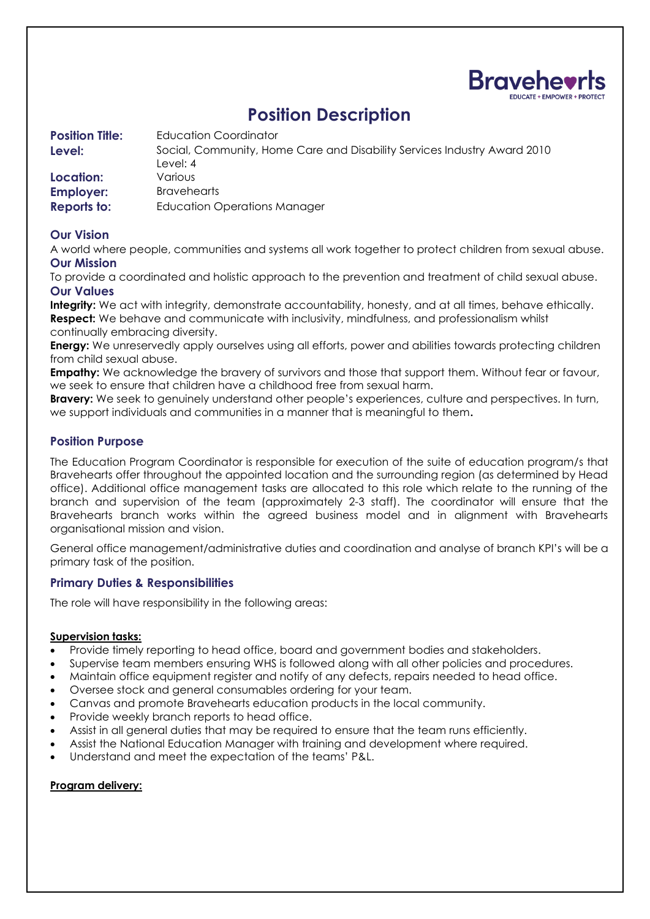

# **Position Description**

**Position Title:** Education Coordinator **Level:** Social, Community, Home Care and Disability Services Industry Award 2010 Level: 4 **Location:** Various **Employer:** Bravehearts **Reports to:** Education Operations Manager

## **Our Vision**

A world where people, communities and systems all work together to protect children from sexual abuse. **Our Mission**

To provide a coordinated and holistic approach to the prevention and treatment of child sexual abuse. **Our Values**

**Integrity:** We act with integrity, demonstrate accountability, honesty, and at all times, behave ethically. **Respect:** We behave and communicate with inclusivity, mindfulness, and professionalism whilst continually embracing diversity.

**Energy:** We unreservedly apply ourselves using all efforts, power and abilities towards protecting children from child sexual abuse.

**Empathy:** We acknowledge the bravery of survivors and those that support them. Without fear or favour, we seek to ensure that children have a childhood free from sexual harm.

**Bravery:** We seek to genuinely understand other people's experiences, culture and perspectives. In turn, we support individuals and communities in a manner that is meaningful to them**.** 

## **Position Purpose**

The Education Program Coordinator is responsible for execution of the suite of education program/s that Bravehearts offer throughout the appointed location and the surrounding region (as determined by Head office). Additional office management tasks are allocated to this role which relate to the running of the branch and supervision of the team (approximately 2-3 staff). The coordinator will ensure that the Bravehearts branch works within the agreed business model and in alignment with Bravehearts organisational mission and vision.

General office management/administrative duties and coordination and analyse of branch KPI's will be a primary task of the position.

## **Primary Duties & Responsibilities**

The role will have responsibility in the following areas:

#### **Supervision tasks:**

- Provide timely reporting to head office, board and government bodies and stakeholders.
- Supervise team members ensuring WHS is followed along with all other policies and procedures.
- Maintain office equipment register and notify of any defects, repairs needed to head office.
- Oversee stock and general consumables ordering for your team.
- Canvas and promote Bravehearts education products in the local community.
- Provide weekly branch reports to head office.
- Assist in all general duties that may be required to ensure that the team runs efficiently.
- Assist the National Education Manager with training and development where required.
- Understand and meet the expectation of the teams' P&L.

#### **Program delivery:**